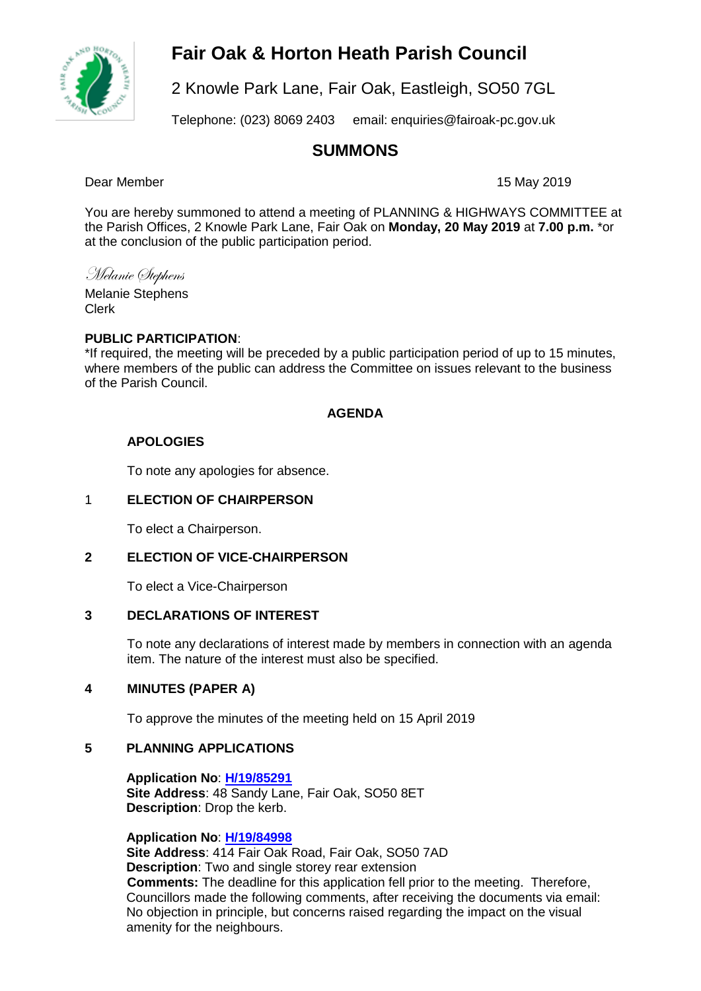# **Fair Oak & Horton Heath Parish Council**



2 Knowle Park Lane, Fair Oak, Eastleigh, SO50 7GL

Telephone: (023) 8069 2403 email: enquiries@fairoak-pc.gov.uk

# **SUMMONS**

Dear Member 15 May 2019

You are hereby summoned to attend a meeting of PLANNING & HIGHWAYS COMMITTEE at the Parish Offices, 2 Knowle Park Lane, Fair Oak on **Monday, 20 May 2019** at **7.00 p.m.** \*or at the conclusion of the public participation period.

Melanie Stephens Melanie Stephens

Clerk

# **PUBLIC PARTICIPATION**:

\*If required, the meeting will be preceded by a public participation period of up to 15 minutes, where members of the public can address the Committee on issues relevant to the business of the Parish Council.

# **AGENDA**

# **APOLOGIES**

To note any apologies for absence.

# 1 **ELECTION OF CHAIRPERSON**

To elect a Chairperson.

# **2 ELECTION OF VICE-CHAIRPERSON**

To elect a Vice-Chairperson

### **3 DECLARATIONS OF INTEREST**

To note any declarations of interest made by members in connection with an agenda item. The nature of the interest must also be specified.

# **4 MINUTES (PAPER A)**

To approve the minutes of the meeting held on 15 April 2019

#### **5 PLANNING APPLICATIONS**

**Application No**: **[H/19/85291](https://planning.eastleigh.gov.uk/s/papplication/a1M1v0000064p6j) Site Address**: 48 Sandy Lane, Fair Oak, SO50 8ET **Description**: Drop the kerb.

#### **Application No**: **[H/19/84998](https://planning.eastleigh.gov.uk/s/papplication/a1M1v0000064aFS)**

**Site Address**: 414 Fair Oak Road, Fair Oak, SO50 7AD **Description**: Two and single storey rear extension **Comments:** The deadline for this application fell prior to the meeting. Therefore, Councillors made the following comments, after receiving the documents via email: No objection in principle, but concerns raised regarding the impact on the visual amenity for the neighbours.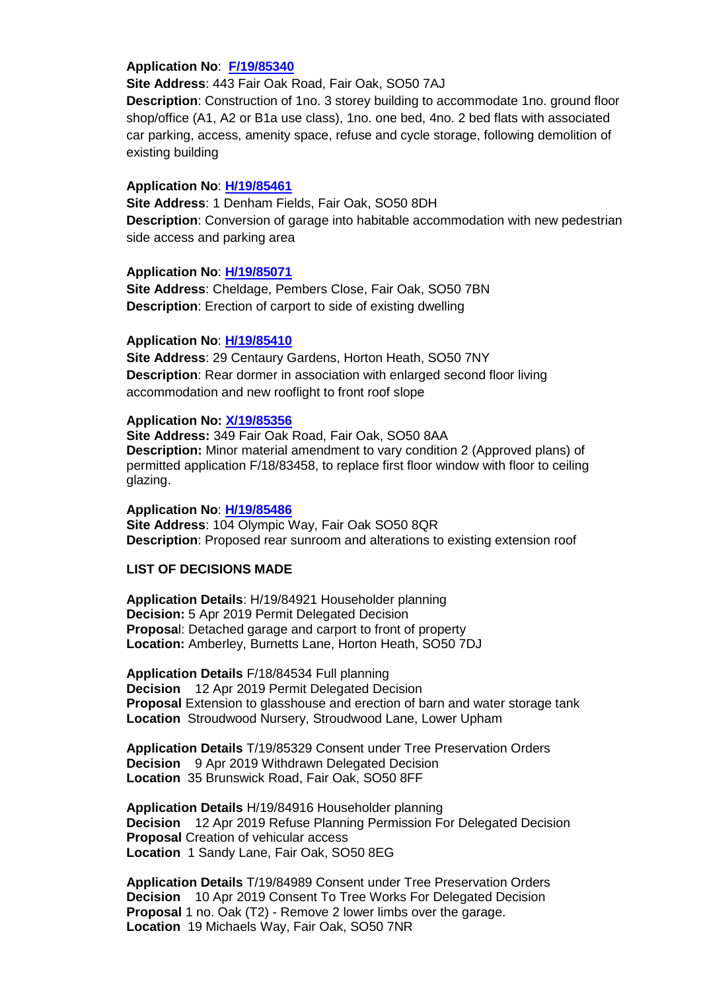#### **Application No**: **[F/19/85340](https://planning.eastleigh.gov.uk/s/papplication/a1M1v0000064rcQ)**

**Site Address**: 443 Fair Oak Road, Fair Oak, SO50 7AJ

**Description**: Construction of 1no. 3 storey building to accommodate 1no. ground floor shop/office (A1, A2 or B1a use class), 1no. one bed, 4no. 2 bed flats with associated car parking, access, amenity space, refuse and cycle storage, following demolition of existing building

#### **Application No**: **[H/19/85461](https://planning.eastleigh.gov.uk/s/papplication/a1M1v000004JD3P)**

**Site Address**: 1 Denham Fields, Fair Oak, SO50 8DH **Description**: Conversion of garage into habitable accommodation with new pedestrian side access and parking area

#### **Application No**: **[H/19/85071](https://planning.eastleigh.gov.uk/s/papplication/a1M1v0000064geb)**

**Site Address**: Cheldage, Pembers Close, Fair Oak, SO50 7BN **Description**: Erection of carport to side of existing dwelling

#### **Application No**: **[H/19/85410](https://planning.eastleigh.gov.uk/s/papplication/a1M1v000004JC9J)**

**Site Address**: 29 Centaury Gardens, Horton Heath, SO50 7NY **Description**: Rear dormer in association with enlarged second floor living accommodation and new rooflight to front roof slope

#### **Application No: [X/19/85356](https://planning.eastleigh.gov.uk/s/public-register)**

**Site Address:** 349 Fair Oak Road, Fair Oak, SO50 8AA **Description:** Minor material amendment to vary condition 2 (Approved plans) of permitted application F/18/83458, to replace first floor window with floor to ceiling glazing.

#### **Application No**: **[H/19/85486](https://planning.eastleigh.gov.uk/s/papplication/a1M1v000004JDha)**

**Site Address**: 104 Olympic Way, Fair Oak SO50 8QR **Description**: Proposed rear sunroom and alterations to existing extension roof

# **LIST OF DECISIONS MADE**

**Application Details**: H/19/84921 Householder planning **Decision:** 5 Apr 2019 Permit Delegated Decision **Proposa**l: Detached garage and carport to front of property **Location:** Amberley, Burnetts Lane, Horton Heath, SO50 7DJ

**Application Details** F/18/84534 Full planning **Decision** 12 Apr 2019 Permit Delegated Decision **Proposal** Extension to glasshouse and erection of barn and water storage tank **Location** Stroudwood Nursery, Stroudwood Lane, Lower Upham

**Application Details** T/19/85329 Consent under Tree Preservation Orders **Decision** 9 Apr 2019 Withdrawn Delegated Decision **Location** 35 Brunswick Road, Fair Oak, SO50 8FF

**Application Details** H/19/84916 Householder planning **Decision** 12 Apr 2019 Refuse Planning Permission For Delegated Decision **Proposal** Creation of vehicular access **Location** 1 Sandy Lane, Fair Oak, SO50 8EG

**Application Details** T/19/84989 Consent under Tree Preservation Orders **Decision** 10 Apr 2019 Consent To Tree Works For Delegated Decision **Proposal** 1 no. Oak (T2) - Remove 2 lower limbs over the garage. **Location** 19 Michaels Way, Fair Oak, SO50 7NR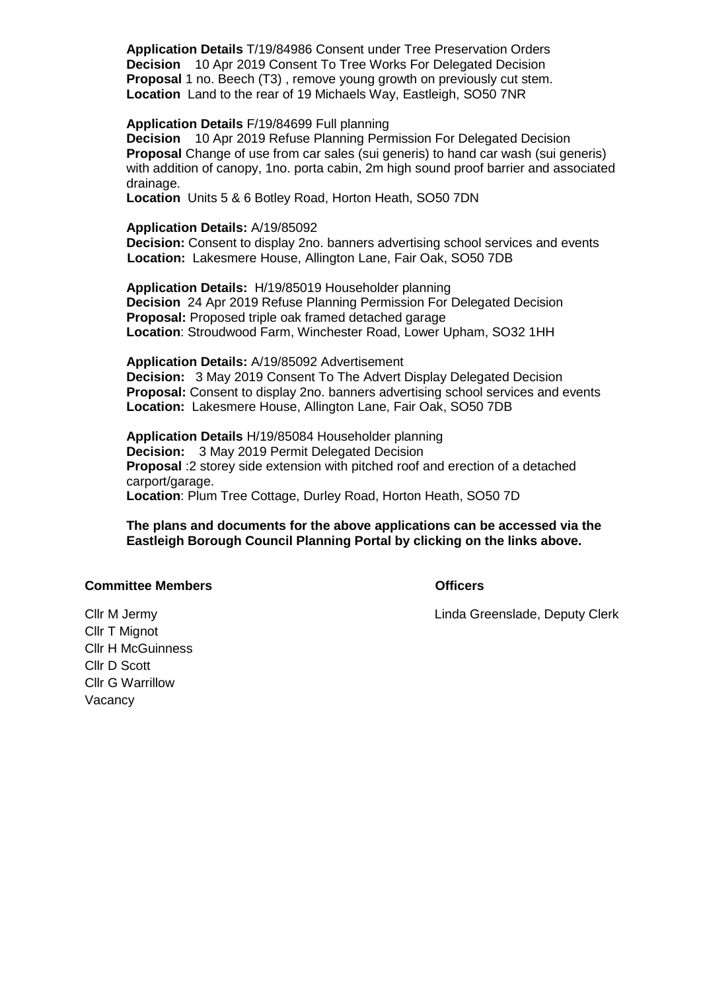**Application Details** T/19/84986 Consent under Tree Preservation Orders **Decision** 10 Apr 2019 Consent To Tree Works For Delegated Decision **Proposal** 1 no. Beech (T3) , remove young growth on previously cut stem. **Location** Land to the rear of 19 Michaels Way, Eastleigh, SO50 7NR

#### **Application Details** F/19/84699 Full planning

**Decision** 10 Apr 2019 Refuse Planning Permission For Delegated Decision **Proposal** Change of use from car sales (sui generis) to hand car wash (sui generis) with addition of canopy, 1no. porta cabin, 2m high sound proof barrier and associated drainage.

**Location** Units 5 & 6 Botley Road, Horton Heath, SO50 7DN

#### **Application Details:** A/19/85092

**Decision:** Consent to display 2no. banners advertising school services and events **Location:** Lakesmere House, Allington Lane, Fair Oak, SO50 7DB

**Application Details:** H/19/85019 Householder planning **Decision** 24 Apr 2019 Refuse Planning Permission For Delegated Decision **Proposal:** Proposed triple oak framed detached garage **Location**: Stroudwood Farm, Winchester Road, Lower Upham, SO32 1HH

#### **Application Details:** A/19/85092 Advertisement

**Decision:** 3 May 2019 Consent To The Advert Display Delegated Decision **Proposal:** Consent to display 2no. banners advertising school services and events **Location:** Lakesmere House, Allington Lane, Fair Oak, SO50 7DB

**Application Details** H/19/85084 Householder planning **Decision:** 3 May 2019 Permit Delegated Decision **Proposal** :2 storey side extension with pitched roof and erection of a detached carport/garage. **Location**: Plum Tree Cottage, Durley Road, Horton Heath, SO50 7D

#### **The plans and documents for the above applications can be accessed via the Eastleigh Borough Council Planning Portal by clicking on the links above.**

#### **Committee Members Committee Members**

Cllr M Jermy Linda Greenslade, Deputy Clerk

Cllr T Mignot Cllr H McGuinness Cllr D Scott Cllr G Warrillow Vacancy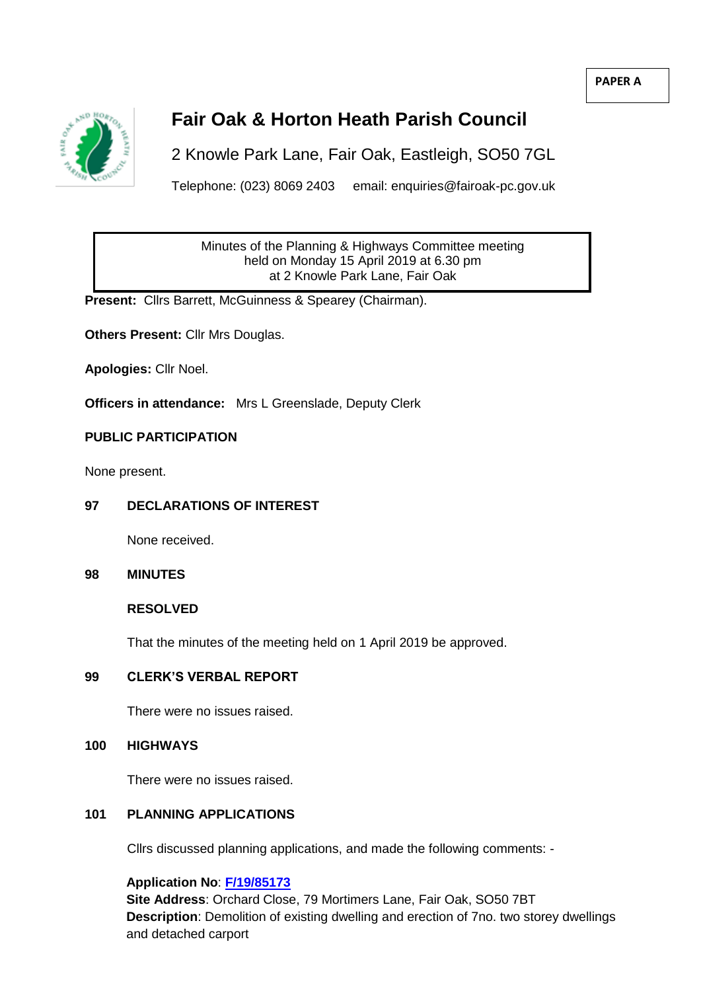**PAPER A**



# **Fair Oak & Horton Heath Parish Council**

2 Knowle Park Lane, Fair Oak, Eastleigh, SO50 7GL

Telephone: (023) 8069 2403 email: enquiries@fairoak-pc.gov.uk

Minutes of the Planning & Highways Committee meeting held on Monday 15 April 2019 at 6.30 pm at 2 Knowle Park Lane, Fair Oak

**Present:** Cllrs Barrett, McGuinness & Spearey (Chairman).

**Others Present:** Cllr Mrs Douglas.

**Apologies:** Cllr Noel.

**Officers in attendance:** Mrs L Greenslade, Deputy Clerk

# **PUBLIC PARTICIPATION**

None present.

# **97 DECLARATIONS OF INTEREST**

None received.

### **98 MINUTES**

#### **RESOLVED**

That the minutes of the meeting held on 1 April 2019 be approved.

# **99 CLERK'S VERBAL REPORT**

There were no issues raised.

**100 HIGHWAYS**

There were no issues raised.

# **101 PLANNING APPLICATIONS**

Cllrs discussed planning applications, and made the following comments: -

**Application No**: **[F/19/85173](https://planning.eastleigh.gov.uk/s/papplication/a1M1v0000064kWT)**

**Site Address**: Orchard Close, 79 Mortimers Lane, Fair Oak, SO50 7BT **Description**: Demolition of existing dwelling and erection of 7no. two storey dwellings and detached carport